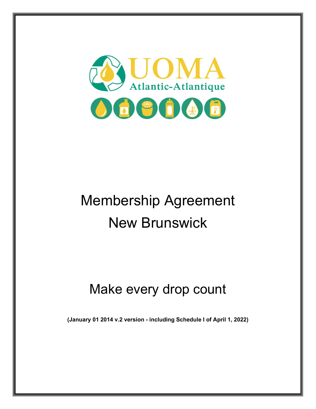

# Membership Agreement New Brunswick

# Make every drop count

**(January 01 2014 v.2 version - including Schedule I of April 1, 2022)**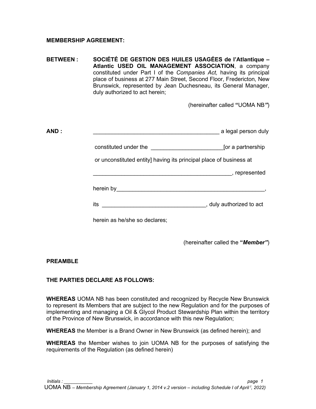#### **MEMBERSHIP AGREEMENT:**

**BETWEEN : SOCIÉTÉ DE GESTION DES HUILES USAGÉES de l'Atlantique – Atlantic USED OIL MANAGEMENT ASSOCIATION**, a company constituted under Part I of the *Companies Act,* having its principal place of business at 277 Main Street, Second Floor, Fredericton, New Brunswick, represented by Jean Duchesneau, its General Manager, duly authorized to act herein;

(hereinafter called **"**UOMA NB*"*)

constituted under the \_\_\_\_\_\_\_\_\_\_\_\_\_\_\_\_\_\_\_\_\_\_\_[or a partnership

or unconstituted entity] having its principal place of business at

 $\blacksquare$  . The contract of the contract of the contract of the contract of the contract of the contract of the contract of the contract of the contract of the contract of the contract of the contract of the contract of the

herein by we have a set of the set of the set of the set of the set of the set of the set of the set of the set of the set of the set of the set of the set of the set of the set of the set of the set of the set of the set

its **its its its its its its its its its its its its its its its its its its its its its its its its its its its its its its its its its its its its i** 

herein as he/she so declares;

(hereinafter called the **"***Member"*)

#### **PREAMBLE**

# **THE PARTIES DECLARE AS FOLLOWS:**

**WHEREAS** UOMA NB has been constituted and recognized by Recycle New Brunswick to represent its Members that are subject to the new Regulation and for the purposes of implementing and managing a Oil & Glycol Product Stewardship Plan within the territory of the Province of New Brunswick, in accordance with this new Regulation;

**WHEREAS** the Member is a Brand Owner in New Brunswick (as defined herein); and

**WHEREAS** the Member wishes to join UOMA NB for the purposes of satisfying the requirements of the Regulation (as defined herein)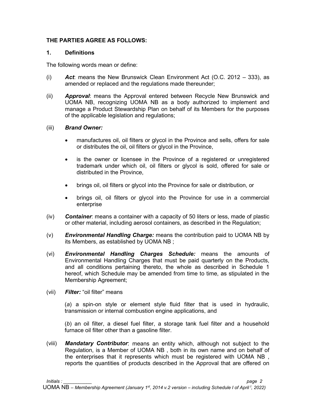#### **THE PARTIES AGREE AS FOLLOWS:**

#### **1. Definitions**

The following words mean or define:

- (i) *Act*: means the New Brunswick Clean Environment Act (O.C. 2012 333), as amended or replaced and the regulations made thereunder;
- (ii) *Approval*: means the Approval entered between Recycle New Brunswick and UOMA NB, recognizing UOMA NB as a body authorized to implement and manage a Product Stewardship Plan on behalf of its Members for the purposes of the applicable legislation and regulations;

#### (iii) *Brand Owner:*

- manufactures oil, oil filters or glycol in the Province and sells, offers for sale or distributes the oil, oil filters or glycol in the Province,
- is the owner or licensee in the Province of a registered or unregistered trademark under which oil, oil filters or glycol is sold, offered for sale or distributed in the Province,
- brings oil, oil filters or glycol into the Province for sale or distribution, or
- brings oil, oil filters or glycol into the Province for use in a commercial enterprise
- (iv) *Container*: means a container with a capacity of 50 liters or less, made of plastic or other material, including aerosol containers, as described in the Regulation;
- (v) *Environmental Handling Charge:* means the contribution paid to UOMA NB by its Members, as established by UOMA NB ;
- (vi) *Environmental Handling Charges Schedule:* means the amounts of Environmental Handling Charges that must be paid quarterly on the Products, and all conditions pertaining thereto, the whole as described in Schedule 1 hereof, which Schedule may be amended from time to time, as stipulated in the Membership Agreement;
- (vii) *Filter:* "oil filter" means

(*a*) a spin-on style or element style fluid filter that is used in hydraulic, transmission or internal combustion engine applications, and

(*b*) an oil filter, a diesel fuel filter, a storage tank fuel filter and a household furnace oil filter other than a gasoline filter.

(viii) *Mandatary Contributor*: means an entity which, although not subject to the Regulation, is a Member of UOMA NB , both in its own name and on behalf of the enterprises that it represents which must be registered with UOMA NB , reports the quantities of products described in the Approval that are offered on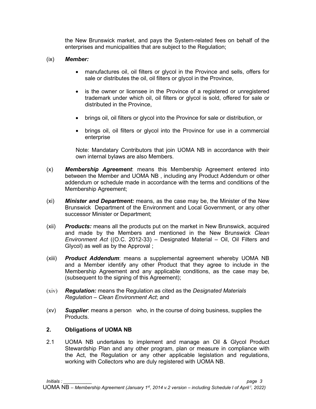the New Brunswick market, and pays the System-related fees on behalf of the enterprises and municipalities that are subject to the Regulation;

#### (ix) *Member:*

- manufactures oil, oil filters or glycol in the Province and sells, offers for sale or distributes the oil, oil filters or glycol in the Province,
- is the owner or licensee in the Province of a registered or unregistered trademark under which oil, oil filters or glycol is sold, offered for sale or distributed in the Province,
- brings oil, oil filters or glycol into the Province for sale or distribution, or
- brings oil, oil filters or glycol into the Province for use in a commercial enterprise

Note: Mandatary Contributors that join UOMA NB in accordance with their own internal bylaws are also Members.

- (x) *Membership Agreement*: means this Membership Agreement entered into between the Member and UOMA NB , including any Product Addendum or other addendum or schedule made in accordance with the terms and conditions of the Membership Agreement;
- (xi) *Minister and Department:* means, as the case may be, the Minister of the New Brunswick Department of the Environment and Local Government, or any other successor Minister or Department;
- (xii) *Products:* means all the products put on the market in New Brunswick, acquired and made by the Members and mentioned in the New Brunswick *Clean Environment Act* ((O.C. 2012-33) – Designated Material – Oil, Oil Filters and Glycol) as well as by the Approval ;
- (xiii) *Product Addendum*: means a supplemental agreement whereby UOMA NB and a Member identify any other Product that they agree to include in the Membership Agreement and any applicable conditions, as the case may be, (subsequent to the signing of this Agreement);
- (xiv) *Regulation:* means the Regulation as cited as the *Designated Materials Regulation – Clean Environment Act*; and
- (xv) *Supplier*: means a person who, in the course of doing business, supplies the **Products**

#### **2. Obligations of UOMA NB**

2.1 UOMA NB undertakes to implement and manage an Oil & Glycol Product Stewardship Plan and any other program, plan or measure in compliance with the Act, the Regulation or any other applicable legislation and regulations, working with Collectors who are duly registered with UOMA NB.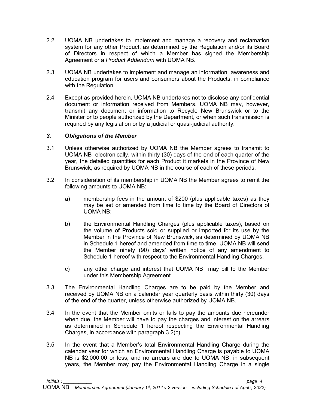- 2.2 UOMA NB undertakes to implement and manage a recovery and reclamation system for any other Product, as determined by the Regulation and/or its Board of Directors in respect of which a Member has signed the Membership Agreement or a *Product Addendum* with UOMA NB*.*
- 2.3 UOMA NB undertakes to implement and manage an information, awareness and education program for users and consumers about the Products, in compliance with the Regulation.
- 2.4 Except as provided herein, UOMA NB undertakes not to disclose any confidential document or information received from Members. UOMA NB may, however, transmit any document or information to Recycle New Brunswick or to the Minister or to people authorized by the Department, or when such transmission is required by any legislation or by a judicial or quasi-judicial authority.

#### *3.* **O***bligations of the Member*

- 3.1 Unless otherwise authorized by UOMA NB the Member agrees to transmit to UOMA NB electronically, within thirty (30) days of the end of each quarter of the year, the detailed quantities for each Product it markets in the Province of New Brunswick, as required by UOMA NB in the course of each of these periods.
- <span id="page-4-0"></span>3.2 In consideration of its membership in UOMA NB the Member agrees to remit the following amounts to UOMA NB:
	- a) membership fees in the amount of \$200 (plus applicable taxes) as they may be set or amended from time to time by the Board of Directors of UOMA NB;
	- b) the Environmental Handling Charges (plus applicable taxes), based on the volume of Products sold or supplied or imported for its use by the Member in the Province of New Brunswick, as determined by UOMA NB in Schedule 1 hereof and amended from time to time. UOMA NB will send the Member ninety (90) days' written notice of any amendment to Schedule 1 hereof with respect to the Environmental Handling Charges.
	- c) any other charge and interest that UOMA NB may bill to the Member under this Membership Agreement.
- <span id="page-4-1"></span>3.3 The Environmental Handling Charges are to be paid by the Member and received by UOMA NB on a calendar year quarterly basis within thirty (30) days of the end of the quarter, unless otherwise authorized by UOMA NB.
- 3.4 In the event that the Member omits or fails to pay the amounts due hereunder when due, the Member will have to pay the charges and interest on the arrears as determined in Schedule 1 hereof respecting the Environmental Handling Charges, in accordance with paragraph [3.2\(](#page-4-0)[c\).](#page-4-1)
- 3.5 In the event that a Member's total Environmental Handling Charge during the calendar year for which an Environmental Handling Charge is payable to UOMA NB is \$2,000.00 or less, and no arrears are due to UOMA NB, in subsequent years, the Member may pay the Environmental Handling Charge in a single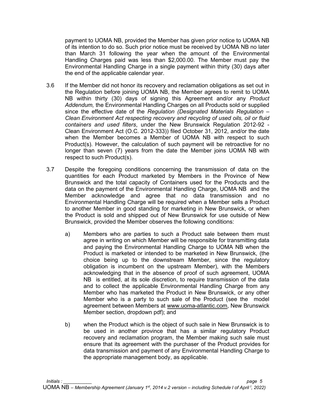payment to UOMA NB, provided the Member has given prior notice to UOMA NB of its intention to do so. Such prior notice must be received by UOMA NB no later than March 31 following the year when the amount of the Environmental Handling Charges paid was less than \$2,000.00. The Member must pay the Environmental Handling Charge in a single payment within thirty (30) days after the end of the applicable calendar year.

- 3.6 If the Member did not honor its recovery and reclamation obligations as set out in the Regulation before joining UOMA NB, the Member agrees to remit to UOMA NB within thirty (30) days of signing this Agreement and/or any *Product Addendum,* the Environmental Handling Charges on all Products sold or supplied since the effective date of the *Regulation (Designated Materials Regulation – Clean Environment Act respecting recovery and recycling of used oils, oil or fluid containers and used filters*, under the New Brunswick Regulation 2012-92 - Clean Environment Act (O.C. 2012-333)) filed October 31, 2012, and/or the date when the Member becomes a Member of UOMA NB with respect to such Product(s). However, the calculation of such payment will be retroactive for no longer than seven (7) years from the date the Member joins UOMA NB with respect to such Product(s).
- 3.7 Despite the foregoing conditions concerning the transmission of data on the quantities for each Product marketed by Members in the Province of New Brunswick and the total capacity of Containers used for the Products and the data on the payment of the Environmental Handling Charge, UOMA NB and the Member acknowledge and agree that no data transmission and no Environmental Handling Charge will be required when a Member sells a Product to another Member in good standing for marketing in New Brunswick, or when the Product is sold and shipped out of New Brunswick for use outside of New Brunswick, provided the Member observes the following conditions:
	- a) Members who are parties to such a Product sale between them must agree in writing on which Member will be responsible for transmitting data and paying the Environmental Handling Charge to UOMA NB when the Product is marketed or intended to be marketed in New Brunswick, (the choice being up to the downstream Member, since the regulatory obligation is incumbent on the upstream Member), with the Members acknowledging that in the absence of proof of such agreement, UOMA NB is entitled, at its sole discretion, to require transmission of the data and to collect the applicable Environmental Handling Charge from any Member who has marketed the Product in New Brunswick, or any other Member who is a party to such sale of the Product (see the model agreement between Members at [www.uoma-atlantic.com,](http://www.uoma-atlantic.com/) New Brunswick Member section, dropdown pdf); and
	- b) when the Product which is the object of such sale in New Brunswick is to be used in another province that has a similar regulatory Product recovery and reclamation program, the Member making such sale must ensure that its agreement with the purchaser of the Product provides for data transmission and payment of any Environmental Handling Charge to the appropriate management body, as applicable.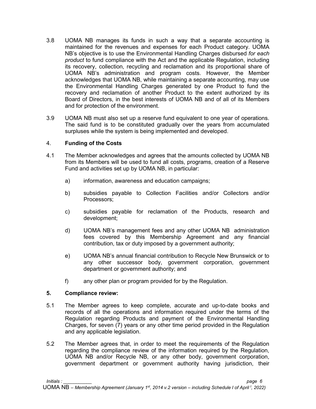- 3.8 UOMA NB manages its funds in such a way that a separate accounting is maintained for the revenues and expenses for each Product category. UOMA NB's objective is to use the Environmental Handling Charges disbursed *for each product* to fund compliance with the Act and the applicable Regulation, including its recovery, collection, recycling and reclamation and its proportional share of UOMA NB's administration and program costs. However, the Member acknowledges that UOMA NB, while maintaining a separate accounting, may use the Environmental Handling Charges generated by one Product to fund the recovery and reclamation of another Product to the extent authorized by its Board of Directors, in the best interests of UOMA NB and of all of its Members and for protection of the environment.
- 3.9 UOMA NB must also set up a reserve fund equivalent to one year of operations. The said fund is to be constituted gradually over the years from accumulated surpluses while the system is being implemented and developed.

#### 4. **Funding of the Costs**

- 4.1 The Member acknowledges and agrees that the amounts collected by UOMA NB from its Members will be used to fund all costs, programs, creation of a Reserve Fund and activities set up by UOMA NB, in particular:
	- a) information, awareness and education campaigns;
	- b) subsidies payable to Collection Facilities and/or Collectors and/or Processors;
	- c) subsidies payable for reclamation of the Products, research and development;
	- d) UOMA NB's management fees and any other UOMA NB administration fees covered by this Membership Agreement and any financial contribution, tax or duty imposed by a government authority;
	- e) UOMA NB's annual financial contribution to Recycle New Brunswick or to any other successor body, government corporation, government department or government authority; and
	- f) any other plan or program provided for by the Regulation.

# **5. Compliance review:**

- 5.1 The Member agrees to keep complete, accurate and up-to-date books and records of all the operations and information required under the terms of the Regulation regarding Products and payment of the Environmental Handling Charges, for seven (7) years or any other time period provided in the Regulation and any applicable legislation.
- 5.2 The Member agrees that, in order to meet the requirements of the Regulation regarding the compliance review of the information required by the Regulation, UOMA NB and/or Recycle NB, or any other body, government corporation, government department or government authority having jurisdiction, their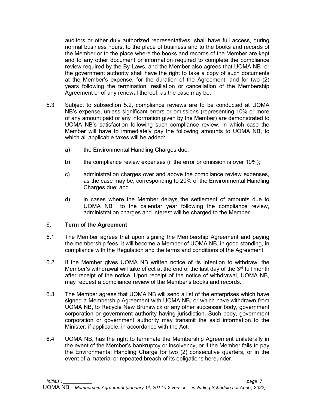auditors or other duly authorized representatives, shall have full access, during normal business hours, to the place of business and to the books and records of the Member or to the place where the books and records of the Member are kept and to any other document or information required to complete the compliance review required by the By-Laws, and the Member also agrees that UOMA NB or the government authority shall have the right to take a copy of such documents at the Member's expense, for the duration of the Agreement, and for two (2) years following the termination, resiliation or cancellation of the Membership Agreement or of any renewal thereof, as the case may be.

- 5.3 Subject to subsection 5.2, compliance reviews are to be conducted at UOMA NB's expense, unless significant errors or omissions (representing 10% or more of any amount paid or any information given by the Member) are demonstrated to UOMA NB's satisfaction following such compliance review, in which case the Member will have to immediately pay the following amounts to UOMA NB, to which all applicable taxes will be added:
	- a) the Environmental Handling Charges due;
	- b) the compliance review expenses (if the error or omission is over 10%);
	- c) administration charges over and above the compliance review expenses, as the case may be, corresponding to 20% of the Environmental Handling Charges due; and
	- d) in cases where the Member delays the settlement of amounts due to UOMA NB to the calendar year following the compliance review, administration charges and interest will be charged to the Member.

#### 6. **Term of the Agreement**

- 6.1 The Member agrees that upon signing the Membership Agreement and paying the membership fees, it will become a Member of UOMA NB, in good standing, in compliance with the Regulation and the terms and conditions of the Agreement.
- 6.2 If the Member gives UOMA NB written notice of its intention to withdraw, the Member's withdrawal will take effect at the end of the last day of the  $3<sup>rd</sup>$  full month after receipt of the notice. Upon receipt of the notice of withdrawal, UOMA NB, may request a compliance review of the Member's books and records.
- 6.3 The Member agrees that UOMA NB will send a list of the enterprises which have signed a Membership Agreement with UOMA NB, or which have withdrawn from UOMA NB, to Recycle New Brunswick or any other successor body, government corporation or government authority having jurisdiction. Such body, government corporation or government authority may transmit the said information to the Minister, if applicable, in accordance with the Act.
- 6.4 UOMA NB, has the right to terminate the Membership Agreement unilaterally in the event of the Member's bankruptcy or insolvency, or if the Member fails to pay the Environmental Handling Charge for two (2) consecutive quarters, or in the event of a material or repeated breach of its obligations hereunder.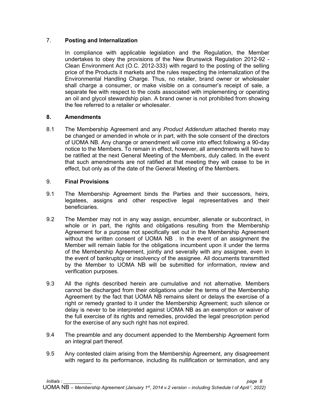#### 7. **Posting and Internalization**

In compliance with applicable legislation and the Regulation, the Member undertakes to obey the provisions of the New Brunswick Regulation 2012-92 - Clean Environment Act (O.C. 2012-333) with regard to the posting of the selling price of the Products it markets and the rules respecting the internalization of the Environmental Handling Charge. Thus, no retailer, brand owner or wholesaler shall charge a consumer, or make visible on a consumer's receipt of sale, a separate fee with respect to the costs associated with implementing or operating an oil and glycol stewardship plan. A brand owner is not prohibited from showing the fee referred to a retailer or wholesaler.

#### **8. Amendments**

8.1 The Membership Agreement and any *Product Addendum* attached thereto may be changed or amended in whole or in part, with the sole consent of the directors of UOMA NB. Any change or amendment will come into effect following a 90-day notice to the Members. To remain in effect, however, all amendments will have to be ratified at the next General Meeting of the Members, duly called. In the event that such amendments are not ratified at that meeting they will cease to be in effect, but only as of the date of the General Meeting of the Members.

#### 9. **Final Provisions**

- 9.1 The Membership Agreement binds the Parties and their successors, heirs, legatees, assigns and other respective legal representatives and their beneficiaries.
- 9.2 The Member may not in any way assign, encumber, alienate or subcontract, in whole or in part, the rights and obligations resulting from the Membership Agreement for a purpose not specifically set out in the Membership Agreement without the written consent of UOMA NB . In the event of an assignment the Member will remain liable for the obligations incumbent upon it under the terms of the Membership Agreement, jointly and severally with any assignee, even in the event of bankruptcy or insolvency of the assignee. All documents transmitted by the Member to UOMA NB will be submitted for information, review and verification purposes.
- 9.3 All the rights described herein are cumulative and not alternative. Members cannot be discharged from their obligations under the terms of the Membership Agreement by the fact that UOMA NB remains silent or delays the exercise of a right or remedy granted to it under the Membership Agreement; such silence or delay is never to be interpreted against UOMA NB as an exemption or waiver of the full exercise of its rights and remedies, provided the legal prescription period for the exercise of any such right has not expired.
- 9.4 The preamble and any document appended to the Membership Agreement form an integral part thereof.
- 9.5 Any contested claim arising from the Membership Agreement, any disagreement with regard to its performance, including its nullification or termination, and any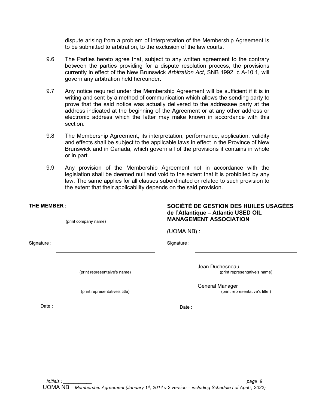dispute arising from a problem of interpretation of the Membership Agreement is to be submitted to arbitration, to the exclusion of the law courts.

- 9.6 The Parties hereto agree that, subject to any written agreement to the contrary between the parties providing for a dispute resolution process, the provisions currently in effect of the New Brunswick *Arbitration Act*, SNB 1992, c A-10.1, will govern any arbitration held hereunder.
- 9.7 Any notice required under the Membership Agreement will be sufficient if it is in writing and sent by a method of communication which allows the sending party to prove that the said notice was actually delivered to the addressee party at the address indicated at the beginning of the Agreement or at any other address or electronic address which the latter may make known in accordance with this section.
- 9.8 The Membership Agreement, its interpretation, performance, application, validity and effects shall be subject to the applicable laws in effect in the Province of New Brunswick and in Canada, which govern all of the provisions it contains in whole or in part.
- 9.9 Any provision of the Membership Agreement not in accordance with the legislation shall be deemed null and void to the extent that it is prohibited by any law. The same applies for all clauses subordinated or related to such provision to the extent that their applicability depends on the said provision.

#### **THE MEMBER :**

\_\_\_\_\_\_\_\_\_\_\_\_\_\_\_\_\_\_\_\_\_\_\_\_\_\_\_\_\_\_\_\_\_\_\_\_\_\_\_\_\_\_\_\_\_\_\_\_\_\_\_\_\_ (print company name)

(print representative's title)

**SOCIÉTÉ DE GESTION DES HUILES USAGÉES de l'Atlantique – Atlantic USED OIL MANAGEMENT ASSOCIATION** 

**(**UOMA NB**)** :

Signature : Signature : Signature : Signature : Signature : Signature : Signature : Signature : Signature : Signature : Signature : Signature : Signature : Signature : Signature : Signature : Signature : Signature : Signat

Jean Duchesneau

(print representaive's name) (print representative's name)

**General Manager**<br>(print representative's title)

Date : Contract of the Contract of the Date : Contract of the Date : Contract of the Date : Contract of the Date : Contract of the Date : Contract of the Date : Contract of the Date : Contract of the Date : Contract of the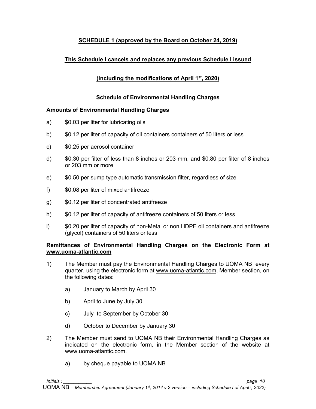# **SCHEDULE 1 (approved by the Board on October 24, 2019)**

# **This Schedule I cancels and replaces any previous Schedule I issued**

# **(Including the modifications of April 1st, 2020)**

### **Schedule of Environmental Handling Charges**

#### **Amounts of Environmental Handling Charges**

- a) \$0.03 per liter for lubricating oils
- b) \$0.12 per liter of capacity of oil containers containers of 50 liters or less
- c) \$0.25 per aerosol container
- d) \$0.30 per filter of less than 8 inches or 203 mm, and \$0.80 per filter of 8 inches or 203 mm or more
- e) \$0.50 per sump type automatic transmission filter, regardless of size
- f) \$0.08 per liter of mixed antifreeze
- g) \$0.12 per liter of concentrated antifreeze
- h) \$0.12 per liter of capacity of antifreeze containers of 50 liters or less
- i) \$0.20 per liter of capacity of non-Metal or non HDPE oil containers and antifreeze (glycol) containers of 50 liters or less

#### **Remittances of Environmental Handling Charges on the Electronic Form at [www.uoma-atlantic.com](http://www.uoma-atlantic.com/)**

- 1) The Member must pay the Environmental Handling Charges to UOMA NB every quarter, using the electronic form at [www.uoma-atlantic.com,](http://www.uoma-atlantic.com/) Member section, on the following dates:
	- a) January to March by April 30
	- b) April to June by July 30
	- c) July to September by October 30
	- d) October to December by January 30
- 2) The Member must send to UOMA NB their Environmental Handling Charges as indicated on the electronic form, in the Member section of the website at www.uoma-atlantic.com.
	- a) by cheque payable to UOMA NB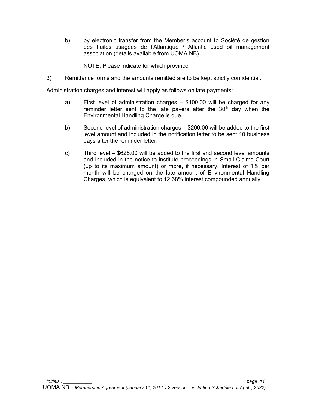b) by electronic transfer from the Member's account to Société de gestion des huiles usagées de l'Atlantique / Atlantic used oil management association (details available from UOMA NB)

NOTE: Please indicate for which province

3) Remittance forms and the amounts remitted are to be kept strictly confidential.

Administration charges and interest will apply as follows on late payments:

- a) First level of administration charges \$100.00 will be charged for any reminder letter sent to the late payers after the  $30<sup>th</sup>$  day when the Environmental Handling Charge is due.
- b) Second level of administration charges \$200.00 will be added to the first level amount and included in the notification letter to be sent 10 business days after the reminder letter.
- c) Third level \$625.00 will be added to the first and second level amounts and included in the notice to institute proceedings in Small Claims Court (up to its maximum amount) or more, if necessary. Interest of 1% per month will be charged on the late amount of Environmental Handling Charges, which is equivalent to 12.68% interest compounded annually.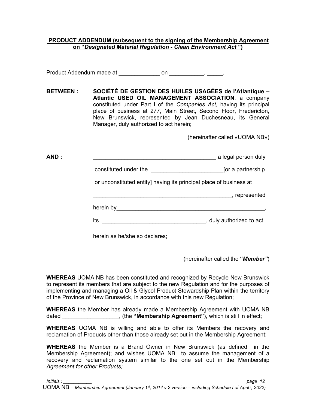#### **PRODUCT ADDENDUM (subsequent to the signing of the Membership Agreement on "***Designated Material Regulation - Clean Environment Act* **")**

Product Addendum made at \_\_\_\_\_\_\_\_\_\_\_\_\_\_\_ on \_\_\_\_\_\_\_\_\_\_\_\_\_, \_\_\_\_\_\_.

**BETWEEN : SOCIÉTÉ DE GESTION DES HUILES USAGÉES de l'Atlantique – Atlantic USED OIL MANAGEMENT ASSOCIATION**, a company constituted under Part I of the *Companies Act,* having its principal place of business at 277, Main Street, Second Floor, Fredericton, New Brunswick, represented by Jean Duchesneau, its General Manager, duly authorized to act herein;

(hereinafter called «UOMA NB»)

**AND :** \_\_\_\_\_\_\_\_\_\_\_\_\_\_\_\_\_\_\_\_\_\_\_\_\_\_\_\_\_\_\_\_\_\_\_\_\_\_\_ a legal person duly

constituted under the **constituted** under the set of  $\alpha$  partnership

or unconstituted entity] having its principal place of business at

\_\_\_\_\_\_\_\_\_\_\_\_\_\_\_\_\_\_\_\_\_\_\_\_\_\_\_\_\_\_\_\_\_\_\_\_\_\_\_\_\_\_\_\_, represented

herein by\_\_\_\_\_\_\_\_\_\_\_\_\_\_\_\_\_\_\_\_\_\_\_\_\_\_\_\_\_\_\_\_\_\_\_\_\_\_\_\_\_\_\_\_\_\_\_,

its **its its its its its its its its its its its its its its its its its its its its its its its its its its its its its its its its its its its its i** 

herein as he/she so declares;

(hereinafter called the **"***Member"*)

**WHEREAS** UOMA NB has been constituted and recognized by Recycle New Brunswick to represent its members that are subject to the new Regulation and for the purposes of implementing and managing a Oil & Glycol Product Stewardship Plan within the territory of the Province of New Brunswick, in accordance with this new Regulation;

**WHEREAS** the Member has already made a Membership Agreement with UOMA NB dated \_\_\_\_\_\_\_\_\_\_\_\_\_\_\_\_\_\_, (the **"Membership Agreement"**), which is still in effect;

**WHEREAS** UOMA NB is willing and able to offer its Members the recovery and reclamation of Products other than those already set out in the Membership Agreement;

**WHEREAS** the Member is a Brand Owner in New Brunswick (as defined in the Membership Agreement); and wishes UOMA NB to assume the management of a recovery and reclamation system similar to the one set out in the Membership *Agreement for other Products;*